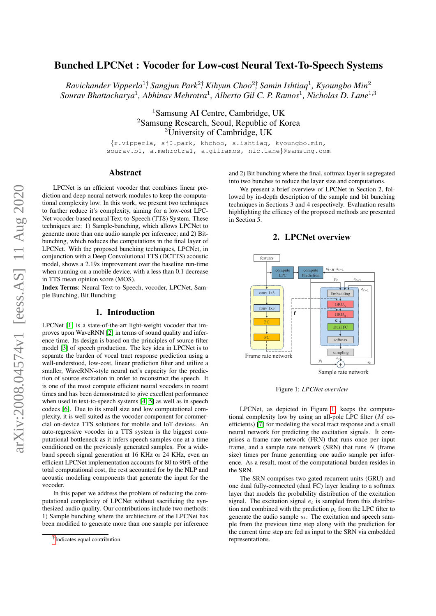# Bunched LPCNet : Vocoder for Low-cost Neural Text-To-Speech Systems

 $R$ avichander Vipperla<sup>1†</sup>, Sangjun Park<sup>2†</sup>, Kihyun Choo<sup>2†</sup>, Samin Ishtiaq<sup>1</sup>, Kyoungbo Min<sup>2</sup> *Sourav Bhattacharya*<sup>1</sup> *, Abhinav Mehrotra*<sup>1</sup> *, Alberto Gil C. P. Ramos*<sup>1</sup> *, Nicholas D. Lane*<sup>1</sup>,<sup>3</sup>

> <sup>1</sup>Samsung AI Centre, Cambridge, UK <sup>2</sup>Samsung Research, Seoul, Republic of Korea <sup>3</sup>University of Cambridge, UK

{r.vipperla, sj0.park, khchoo, s.ishtiaq, kyoungbo.min, sourav.b1, a.mehrotra1, a.gilramos, nic.lane}@samsung.com

# Abstract

LPCNet is an efficient vocoder that combines linear prediction and deep neural network modules to keep the computational complexity low. In this work, we present two techniques to further reduce it's complexity, aiming for a low-cost LPC-Net vocoder-based neural Text-to-Speech (TTS) System. These techniques are: 1) Sample-bunching, which allows LPCNet to generate more than one audio sample per inference; and 2) Bitbunching, which reduces the computations in the final layer of LPCNet. With the proposed bunching techniques, LPCNet, in conjunction with a Deep Convolutional TTS (DCTTS) acoustic model, shows a 2.19x improvement over the baseline run-time when running on a mobile device, with a less than 0.1 decrease in TTS mean opinion score (MOS).

Index Terms: Neural Text-to-Speech, vocoder, LPCNet, Sample Bunching, Bit Bunching

## 1. Introduction

LPCNet [\[1\]](#page-4-0) is a state-of-the-art light-weight vocoder that improves upon WaveRNN [\[2\]](#page-4-1) in terms of sound quality and inference time. Its design is based on the principles of source-filter model [\[3\]](#page-4-2) of speech production. The key idea in LPCNet is to separate the burden of vocal tract response prediction using a well-understood, low-cost, linear prediction filter and utilize a smaller, WaveRNN-style neural net's capacity for the prediction of source excitation in order to reconstruct the speech. It is one of the most compute efficient neural vocoders in recent times and has been demonstrated to give excellent performance when used in text-to-speech systems [\[4,](#page-4-3) [5\]](#page-4-4) as well as in speech codecs [\[6\]](#page-4-5). Due to its small size and low computational complexity, it is well suited as the vocoder component for commercial on-device TTS solutions for mobile and IoT devices. An auto-regressive vocoder in a TTS system is the biggest computational bottleneck as it infers speech samples one at a time conditioned on the previously generated samples. For a wideband speech signal generation at 16 KHz or 24 KHz, even an efficient LPCNet implementation accounts for 80 to 90% of the total computational cost, the rest accounted for by the NLP and acoustic modeling components that generate the input for the vocoder.

In this paper we address the problem of reducing the computational complexity of LPCNet without sacrificing the synthesized audio quality. Our contributions include two methods: 1) Sample bunching where the architecture of the LPCNet has been modified to generate more than one sample per inference and 2) Bit bunching where the final, softmax layer is segregated into two bunches to reduce the layer size and computations.

We present a brief overview of LPCNet in Section 2, followed by in-depth description of the sample and bit bunching techniques in Sections 3 and 4 respectively. Evaluation results highlighting the efficacy of the proposed methods are presented in Section 5.

# 2. LPCNet overview

<span id="page-0-1"></span><span id="page-0-0"></span>

Figure 1: *LPCNet overview*

LPCNet, as depicted in Figure [1,](#page-0-0) keeps the computational complexity low by using an all-pole LPC filter (M coefficients) [\[7\]](#page-4-6) for modeling the vocal tract response and a small neural network for predicting the excitation signals. It comprises a frame rate network (FRN) that runs once per input frame, and a sample rate network (SRN) that runs  $N$  (frame size) times per frame generating one audio sample per inference. As a result, most of the computational burden resides in the SRN.

The SRN comprises two gated recurrent units (GRU) and one dual fully-connected (dual FC) layer leading to a softmax layer that models the probability distribution of the excitation signal. The excitation signal  $e_t$  is sampled from this distribution and combined with the prediction  $p_t$  from the LPC filter to generate the audio sample  $s_t$ . The excitation and speech sample from the previous time step along with the prediction for the current time step are fed as input to the SRN via embedded representations.

<sup>†</sup> Indicates equal contribution.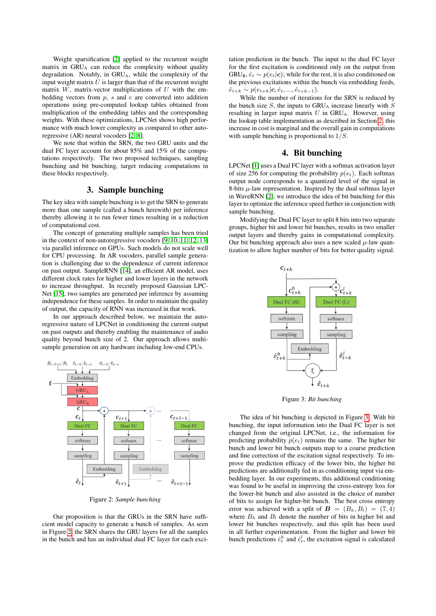Weight sparsification [\[2\]](#page-4-1) applied to the recurrent weight matrix in GRU<sub>A</sub> can reduce the complexity without quality degradation. Notably, in GRU<sub>A</sub>, while the complexity of the input weight matrix  $U$  is larger than that of the recurrent weight matrix  $W$ , matrix-vector multiplications of  $U$  with the embedding vectors from  $p$ ,  $s$  and  $e$  are converted into addition operations using pre-computed lookup tables obtained from multiplication of the embedding tables and the corresponding weights. With these optimizations, LPCNet shows high performance with much lower complexity as compared to other autoregressive (AR) neural vocoders [\[2,](#page-4-1) [8\]](#page-4-7).

We note that within the SRN, the two GRU units and the dual FC layer account for about 85% and 15% of the computations respectively. The two proposed techniques, sampling bunching and bit bunching, target reducing computations in these blocks respectively.

# 3. Sample bunching

The key idea with sample bunching is to get the SRN to generate more than one sample (called a bunch herewith) per inference thereby allowing it to run fewer times resulting in a reduction of computational cost.

The concept of generating multiple samples has been tried in the context of non-autoregressive vocoders [\[9,](#page-4-8) [10,](#page-4-9) [11,](#page-4-10) [12,](#page-4-11) [13\]](#page-4-12) via parallel inference on GPUs. Such models do not scale well for CPU processing. In AR vocoders, parallel sample generation is challenging due to the dependence of current inference on past output. SampleRNN [\[14\]](#page-4-13), an efficient AR model, uses different clock rates for higher and lower layers in the network to increase throughput. In recently proposed Gaussian LPC-Net [\[15\]](#page-4-14), two samples are generated per inference by assuming independence for these samples. In order to maintain the quality of output, the capacity of RNN was increased in that work.

In our approach described below, we maintain the autoregressive nature of LPCNet in conditioning the current output on past outputs and thereby enabling the maintenance of audio quality beyond bunch size of 2. Our approach allows multisample generation on any hardware including low-end CPUs.

<span id="page-1-0"></span>

Figure 2: *Sample bunching*

Our proposition is that the GRUs in the SRN have sufficient model capacity to generate a bunch of samples. As seen in Figure [2,](#page-1-0) the SRN shares the GRU layers for all the samples in the bunch and has an individual dual FC layer for each exci-

tation prediction in the bunch. The input to the dual FC layer for the first excitation is conditioned only on the output from GRU<sub>B</sub>,  $\hat{e}_t \sim p(e_t|\mathbf{c})$ ; while for the rest, it is also conditioned on the previous excitations within the bunch via embedding feeds,  $\hat{e}_{t+k} \sim p(e_{t+k}|\mathbf{c}, \hat{e}_t, ..., \hat{e}_{t+k-1}).$ 

While the number of iterations for the SRN is reduced by the bunch size  $S$ , the inputs to  $GRU_A$  increase linearly with  $S$ resulting in larger input matrix  $U$  in  $GRU_A$ . However, using the lookup table implementation as described in Section [2,](#page-0-1) this increase in cost is marginal and the overall gain in computations with sample bunching is proportional to  $1/S$ .

# 4. Bit bunching

LPCNet [\[1\]](#page-4-0) uses a Dual FC layer with a softmax activation layer of size 256 for computing the probability  $p(e_t)$ . Each softmax output node corresponds to a quantized level of the signal in 8-bits  $\mu$ -law representation. Inspired by the dual softmax layer in WaveRNN [\[2\]](#page-4-1), we introduce the idea of bit bunching for this layer to optimize the inference speed further in conjunction with sample bunching.

Modifying the Dual FC layer to split 8 bits into two separate groups, higher bit and lower bit bunches, results in two smaller output layers and thereby gains in computational complexity. Our bit bunching approach also uses a new scaled  $\mu$ -law quantization to allow higher number of bits for better quality signal.

<span id="page-1-1"></span>

Figure 3: *Bit bunching*

The idea of bit bunching is depicted in Figure [3.](#page-1-1) With bit bunching, the input information into the Dual FC layer is not changed from the original LPCNet, i.e., the information for predicting probability  $p(e_t)$  remains the same. The higher bit bunch and lower bit bunch outputs map to a coarse prediction and fine correction of the excitation signal respectively. To improve the prediction efficacy of the lower bits, the higher bit predictions are additionally fed in as conditioning input via embedding layer. In our experiments, this additional conditioning was found to be useful in improving the cross-entropy loss for the lower-bit bunch and also assisted in the choice of number of bits to assign for higher-bit bunch. The best cross entropy error was achieved with a split of  $\mathbf{B} = (B_h, B_l) = (7, 4)$ where  $B_h$  and  $B_l$  denote the number of bits in higher bit and lower bit bunches respectively, and this split has been used in all further experimentation. From the higher and lower bit bunch predictions  $\hat{e}_t^h$  and  $\hat{e}_t^l$ , the excitation signal is calculated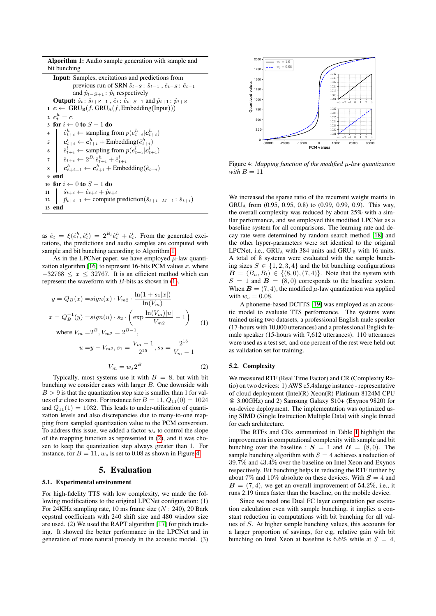Algorithm 1: Audio sample generation with sample and bit bunching

```
Input: Samples, excitations and predictions from
                      previous run of SRN \hat{s}_{t-S}: \hat{s}_{t-1}, \hat{e}_{t-S}: \hat{e}_{t-1}and \hat{p}_{t-S+1}: \hat{p}_t respectively
      Output: \hat{s}_t: \hat{s}_{t+S-1}, \hat{e}_t: \hat{e}_{t+S-1} and \hat{p}_{t+1}: \hat{p}_{t+S}\mathbf{1} \ \mathbf{c} \leftarrow \text{GRU}_{\text{B}}(f, \text{GRU}_{\text{A}}(f, \text{Embedding}(\text{Input})))2 \boldsymbol{c}^h_t = \boldsymbol{c}3 for i \leftarrow 0 to S - 1 do
  4 \begin{array}{l} | \quad \hat{e}_{t+i}^h \leftarrow \text{sampling from } p(e_{t+i}^h | \mathbf{c}_{t+i}^h) \end{array}t+i\mathbf{s} \quad \begin{array}{c} \mathbf{c}^l_{t+i} \leftarrow \mathbf{c}^h_{t+i} + \text{Embedding}(\hat{e}^h_{t+i}) \end{array}\mathbf{6} \quad \begin{array}{c} \hat{e}^l_{t+i} \leftarrow \text{sampling from } p(e^l_{t+i}|\mathbf{c}^l_{t+i}) \end{array}7 \hat{e}_{t+i} \leftarrow 2^{B_l} \hat{e}_{t+i}^h + \hat{e}_{t+i}^l\mathbf{s} \quad \begin{array}{c} \mathbf{s} \quad \mathbf{c}_{t+i+1}^h \leftarrow \mathbf{c}_{t+i}^h + \text{Embedding}(\hat{e}_{t+i}) \end{array}9 end
10 for i \leftarrow 0 to S-1 do
11 \hat{s}_{t+i} \leftarrow \hat{e}_{t+i} + \hat{p}_{t+i}12 \hat{p}_{t+i+1} \leftarrow compute prediction(\hat{s}_{t+i-M-1}: \hat{s}_{t+i})
13 end
```
<span id="page-2-0"></span>as  $\hat{e}_t = \xi(\hat{e}_t^h, \hat{e}_t^l) = 2^{B_l} \hat{e}_t^h + \hat{e}_t^l$ . From the generated excitations, the predictions and audio samples are computed with sample and bit bunching according to Algorithm [1.](#page-2-0)

As in the LPCNet paper, we have employed  $\mu$ -law quanti-zation algorithm [\[16\]](#page-4-15) to represent 16-bits PCM values  $x$ , where  $-32768 \leq x \leq 32767$ . It is an efficient method which can represent the waveform with  $B$ -bits as shown in [\(1\)](#page-2-1).

<span id="page-2-1"></span>
$$
y = Q_B(x) = sign(x) \cdot V_{m2} \cdot \frac{\ln(1 + s_1|x|)}{\ln(V_m)}
$$
  
\n
$$
x = Q_B^{-1}(y) = sign(u) \cdot s_2 \cdot \left(\exp \frac{\ln(V_m)|u|}{V_{m2}} - 1\right)
$$
  
\nwhere  $V_m = 2^B$ ,  $V_{m2} = 2^{B-1}$ ,  
\n
$$
u = y - V_{m2}, s_1 = \frac{V_m - 1}{2^{15}}, s_2 = \frac{2^{15}}{V_m - 1}
$$
  
\n
$$
V_m = w_s 2^B
$$
 (2)

<span id="page-2-2"></span>Typically, most systems use it with  $B = 8$ , but with bit bunching we consider cases with larger  $B$ . One downside with  $B > 9$  is that the quantization step size is smaller than 1 for values of x close to zero. For instance for  $B = 11, Q_{11}(0) = 1024$ and  $Q_{11}(1) = 1032$ . This leads to under-utilization of quantization levels and also discrepancies due to many-to-one mapping from sampled quantization value to the PCM conversion. To address this issue, we added a factor  $w<sub>s</sub>$  to control the slope of the mapping function as represented in [\(2\)](#page-2-2), and it was chosen to keep the quantization step always greater than 1. For instance, for  $B = 11$ ,  $w_s$  is set to 0.08 as shown in Figure [4.](#page-2-3)

### 5. Evaluation

#### 5.1. Experimental environment

For high-fidelity TTS with low complexity, we made the following modifications to the original LPCNet configuration: (1) For 24KHz sampling rate, 10 ms frame size  $(N: 240)$ , 20 Bark cepstral coefficients with 240 shift size and 480 window size are used. (2) We used the RAPT algorithm [\[17\]](#page-4-16) for pitch tracking. It showed the better performance in the LPCNet and in generation of more natural prosody in the acoustic model. (3)

<span id="page-2-3"></span>

Figure 4: *Mapping function of the modified* µ*-law quantization with*  $B = 11$ 

We increased the sparse ratio of the recurrent weight matrix in GRU<sup>A</sup> from (0.95, 0.95, 0.8) to (0.99, 0.99, 0.9). This way, the overall complexity was reduced by about 25% with a similar performance, and we employed this modified LPCNet as a baseline system for all comparisons. The learning rate and decay rate were determined by random search method [\[18\]](#page-4-17) and the other hyper-parameters were set identical to the original LPCNet, i.e.,  $GRU_A$  with 384 units and  $GRU_B$  with 16 units. A total of 8 systems were evaluated with the sample bunching sizes  $S \in \{1, 2, 3, 4\}$  and the bit bunching configurations  $\mathbf{B} = (B_h, B_l) \in \{ (8, 0), (7, 4) \}.$  Note that the system with  $S = 1$  and  $B = (8, 0)$  corresponds to the baseline system. When  $\mathbf{B} = (7, 4)$ , the modified  $\mu$ -law quantization was applied with  $w_s = 0.08$ .

A phoneme-based DCTTS [\[19\]](#page-4-18) was employed as an acoustic model to evaluate TTS performance. The systems were trained using two datasets, a professional English male speaker (17-hours with 10,000 utterances) and a professional English female speaker (15-hours with 7,612 utterances). 110 utterances were used as a test set, and one percent of the rest were held out as validation set for training.

#### 5.2. Complexity

We measured RTF (Real Time Factor) and CR (Complexity Ratio) on two devices: 1) AWS c5.4xlarge instance - representative of cloud deployment (Intel(R) Xeon(R) Platinum 8124M CPU @ 3.00GHz) and 2) Samsung Galaxy S10+ (Exynos 9820) for on-device deployment. The implementation was optimized using SIMD (Single Instruction Multiple Data) with single thread for each architecture.

The RTFs and CRs summarized in Table [1](#page-3-0) highlight the improvements in computational complexity with sample and bit bunching over the baseline :  $S = 1$  and  $B = (8, 0)$ . The sample bunching algorithm with  $S = 4$  achieves a reduction of 39.7% and 43.4% over the baseline on Intel Xeon and Exynos respectively. Bit bunching helps in reducing the RTF further by about 7% and 10% absolute on these devices. With  $S = 4$  and  $\mathbf{B} = (7, 4)$ , we get an overall improvement of 54.2%, i.e., it runs 2.19 times faster than the baseline, on the mobile device.

Since we need one Dual FC layer computation per excitation calculation even with sample bunching, it implies a constant reduction in computations with bit bunching for all values of S. At higher sample bunching values, this accounts for a larger proportion of savings, for e.g, relative gain with bit bunching on Intel Xeon at baseline is 6.6% while at  $S = 4$ ,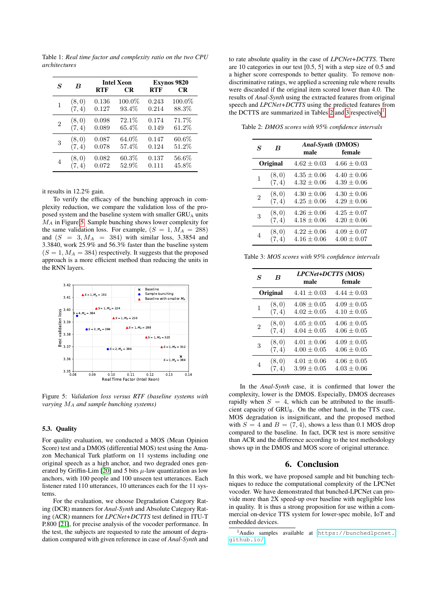<span id="page-3-0"></span>Table 1: *Real time factor and complexity ratio on the two CPU architectures*

| S              | $\boldsymbol{B}$ | <b>RTF</b> | <b>Intel Xeon</b><br><b>CR</b> | <b>RTF</b> | <b>Exynos 9820</b><br><b>CR</b> |
|----------------|------------------|------------|--------------------------------|------------|---------------------------------|
| 1              | (8,0)            | 0.136      | 100.0%                         | 0.243      | 100.0%                          |
|                | (7, 4)           | 0.127      | 93.4%                          | 0.214      | 88.3%                           |
| $\overline{2}$ | (8,0)            | 0.098      | 72.1%                          | 0.174      | 71.7%                           |
|                | (7, 4)           | 0.089      | 65.4%                          | 0.149      | $61.2\%$                        |
| 3              | (8,0)            | 0.087      | 64.0%                          | 0.147      | $60.6\%$                        |
|                | (7, 4)           | 0.078      | 57.4%                          | 0.124      | 51.2%                           |
| 4              | (8, 0)           | 0.082      | $60.3\%$                       | 0.137      | 56.6%                           |
|                | (7, 4)           | 0.072      | 52.9%                          | 0.111      | 45.8%                           |

it results in 12.2% gain.

To verify the efficacy of the bunching approach in complexity reduction, we compare the validation loss of the proposed system and the baseline system with smaller GRU<sub>A</sub> units  $M_A$  in Figure [5.](#page-3-1) Sample bunching shows lower complexity for the same validation loss. For example,  $(S = 1, M_A = 288)$ and  $(S = 3, M<sub>A</sub> = 384)$  with similar loss, 3.3854 and 3.3840, work 25.9% and 56.3% faster than the baseline system  $(S = 1, M<sub>A</sub> = 384)$  respectively. It suggests that the proposed approach is a more efficient method than reducing the units in the RNN layers.

<span id="page-3-1"></span>

Figure 5: *Validation loss versus RTF (baseline systems with varying* M<sup>A</sup> *and sample bunching systems)*

#### 5.3. Quality

For quality evaluation, we conducted a MOS (Mean Opinion Score) test and a DMOS (differential MOS) test using the Amazon Mechanical Turk platform on 11 systems including one original speech as a high anchor, and two degraded ones gen-erated by Griffin-Lim [\[20\]](#page-4-19) and 5 bits  $\mu$ -law quantization as low anchors, with 100 people and 100 unseen test utterances. Each listener rated 110 utterances, 10 utterances each for the 11 systems.

For the evaluation, we choose Degradation Category Rating (DCR) manners for *Anal-Synth* and Absolute Category Rating (ACR) manners for *LPCNet+DCTTS* test defined in ITU-T P.800 [\[21\]](#page-4-20), for precise analysis of the vocoder performance. In the test, the subjects are requested to rate the amount of degradation compared with given reference in case of *Anal-Synth* and

to rate absolute quality in the case of *LPCNet+DCTTS*. There are 10 categories in our test [0.5, 5] with a step size of 0.5 and a higher score corresponds to better quality. To remove nondiscriminative ratings, we applied a screening rule where results were discarded if the original item scored lower than 4.0. The results of *Anal-Synth* using the extracted features from original speech and *LPCNet+DCTTS* using the predicted features from the DCTTS are summarized in Tables [2](#page-3-2) and [3](#page-3-3) respectively<sup>[1](#page-3-4)</sup>.

<span id="page-3-2"></span>Table 2: *DMOS scores with 95% confidence intervals*

| S<br>B   |        | male            | Anal-Synth (DMOS)<br>female |
|----------|--------|-----------------|-----------------------------|
| Original |        | $4.62 \pm 0.03$ | $4.66 \pm 0.03$             |
| 1        | (8, 0) | $4.35 \pm 0.06$ | $4.40 \pm 0.06$             |
|          | (7, 4) | $4.32 + 0.06$   | $4.39 + 0.06$               |
| 2        | (8, 0) | $4.30 \pm 0.06$ | $4.30 + 0.06$               |
|          | (7, 4) | $4.25 + 0.06$   | $4.29 + 0.06$               |
| 3        | (8, 0) | $4.26 \pm 0.06$ | $4.25 \pm 0.07$             |
|          | (7, 4) | $4.18 \pm 0.06$ | $4.20 \pm 0.06$             |
| 4        | (8, 0) | $4.22 + 0.06$   | $4.09 \pm 0.07$             |
|          | (7, 4) | $4.16 \pm 0.06$ | $4.00 \pm 0.07$             |

<span id="page-3-3"></span>Table 3: *MOS scores with 95% confidence intervals*

| $\boldsymbol{S}$<br>B |        | male            | LPCNet+DCTTS (MOS)<br>female |
|-----------------------|--------|-----------------|------------------------------|
| Original              |        | $4.41 \pm 0.03$ | $4.44 \pm 0.03$              |
| 1                     | (8, 0) | $4.08 \pm 0.05$ | $4.09 \pm 0.05$              |
|                       | (7, 4) | $4.02 \pm 0.05$ | $4.10 + 0.05$                |
| $\overline{2}$        | (8, 0) | $4.05 \pm 0.05$ | $4.06 \pm 0.05$              |
|                       | (7, 4) | $4.04 + 0.05$   | $4.06 \pm 0.05$              |
| 3                     | (8, 0) | $4.01 \pm 0.06$ | $4.09 \pm 0.05$              |
|                       | (7, 4) | $4.00 \pm 0.05$ | $4.06 \pm 0.05$              |
| 4                     | (8, 0) | $4.01 \pm 0.06$ | $4.06 \pm 0.05$              |
|                       | (7, 4) | $3.99 + 0.05$   | $4.03 + 0.06$                |

In the *Anal-Synth* case, it is confirmed that lower the complexity, lower is the DMOS. Especially, DMOS decreases rapidly when  $S = 4$ , which can be attributed to the insufficient capacity of GRU<sub>B</sub>. On the other hand, in the TTS case, MOS degradation is insignificant, and the proposed method with  $S = 4$  and  $B = (7, 4)$ , shows a less than 0.1 MOS drop compared to the baseline. In fact, DCR test is more sensitive than ACR and the difference according to the test methodology shows up in the DMOS and MOS score of original utterance.

## 6. Conclusion

In this work, we have proposed sample and bit bunching techniques to reduce the computational complexity of the LPCNet vocoder. We have demonstrated that bunched-LPCNet can provide more than 2X speed-up over baseline with negligible loss in quality. It is thus a strong proposition for use within a commercial on-device TTS system for lower-spec mobile, IoT and embedded devices.

<span id="page-3-4"></span><sup>1</sup>Audio samples available at [https://bunchedlpcnet.](https://bunchedlpcnet.github.io/) [github.io/](https://bunchedlpcnet.github.io/)